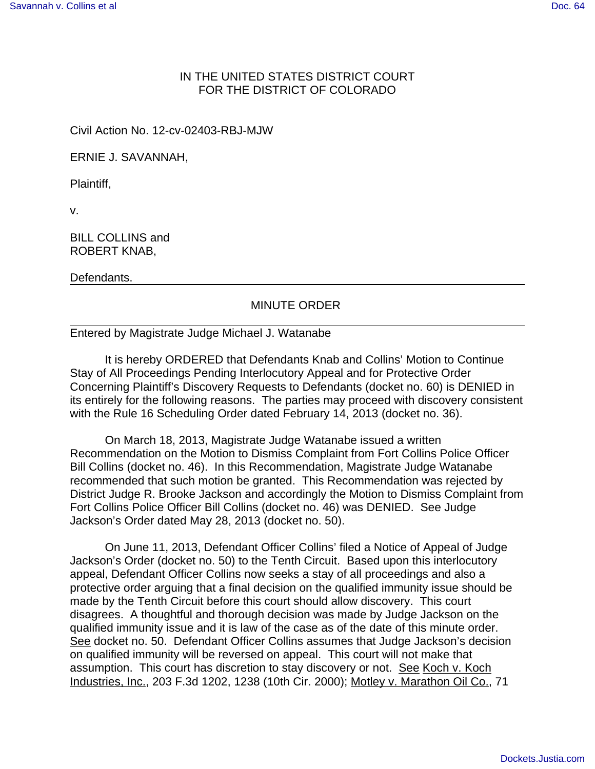## IN THE UNITED STATES DISTRICT COURT FOR THE DISTRICT OF COLORADO

Civil Action No. 12-cv-02403-RBJ-MJW

ERNIE J. SAVANNAH,

Plaintiff,

v.

BILL COLLINS and ROBERT KNAB,

Defendants.

## MINUTE ORDER

## Entered by Magistrate Judge Michael J. Watanabe

It is hereby ORDERED that Defendants Knab and Collins' Motion to Continue Stay of All Proceedings Pending Interlocutory Appeal and for Protective Order Concerning Plaintiff's Discovery Requests to Defendants (docket no. 60) is DENIED in its entirely for the following reasons. The parties may proceed with discovery consistent with the Rule 16 Scheduling Order dated February 14, 2013 (docket no. 36).

On March 18, 2013, Magistrate Judge Watanabe issued a written Recommendation on the Motion to Dismiss Complaint from Fort Collins Police Officer Bill Collins (docket no. 46). In this Recommendation, Magistrate Judge Watanabe recommended that such motion be granted. This Recommendation was rejected by District Judge R. Brooke Jackson and accordingly the Motion to Dismiss Complaint from Fort Collins Police Officer Bill Collins (docket no. 46) was DENIED. See Judge Jackson's Order dated May 28, 2013 (docket no. 50).

On June 11, 2013, Defendant Officer Collins' filed a Notice of Appeal of Judge Jackson's Order (docket no. 50) to the Tenth Circuit. Based upon this interlocutory appeal, Defendant Officer Collins now seeks a stay of all proceedings and also a protective order arguing that a final decision on the qualified immunity issue should be made by the Tenth Circuit before this court should allow discovery. This court disagrees. A thoughtful and thorough decision was made by Judge Jackson on the qualified immunity issue and it is law of the case as of the date of this minute order. See docket no. 50. Defendant Officer Collins assumes that Judge Jackson's decision on qualified immunity will be reversed on appeal. This court will not make that assumption. This court has discretion to stay discovery or not. See Koch v. Koch Industries, Inc., 203 F.3d 1202, 1238 (10th Cir. 2000); Motley v. Marathon Oil Co., 71